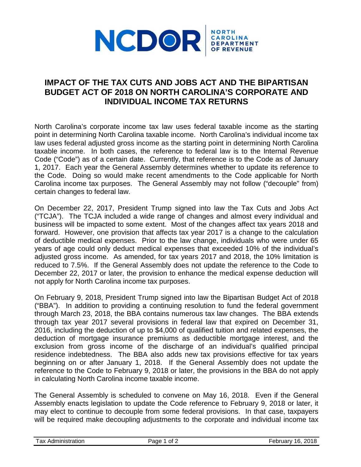

## **IMPACT OF THE TAX CUTS AND JOBS ACT AND THE BIPARTISAN BUDGET ACT OF 2018 ON NORTH CAROLINA'S CORPORATE AND INDIVIDUAL INCOME TAX RETURNS**

North Carolina's corporate income tax law uses federal taxable income as the starting point in determining North Carolina taxable income. North Carolina's individual income tax law uses federal adjusted gross income as the starting point in determining North Carolina taxable income. In both cases, the reference to federal law is to the Internal Revenue Code ("Code") as of a certain date. Currently, that reference is to the Code as of January 1, 2017. Each year the General Assembly determines whether to update its reference to the Code. Doing so would make recent amendments to the Code applicable for North Carolina income tax purposes. The General Assembly may not follow ("decouple" from) certain changes to federal law.

On December 22, 2017, President Trump signed into law the Tax Cuts and Jobs Act ("TCJA"). The TCJA included a wide range of changes and almost every individual and business will be impacted to some extent. Most of the changes affect tax years 2018 and forward. However, one provision that affects tax year 2017 is a change to the calculation of deductible medical expenses. Prior to the law change, individuals who were under 65 years of age could only deduct medical expenses that exceeded 10% of the individual's adjusted gross income. As amended, for tax years 2017 and 2018, the 10% limitation is reduced to 7.5%. If the General Assembly does not update the reference to the Code to December 22, 2017 or later, the provision to enhance the medical expense deduction will not apply for North Carolina income tax purposes.

On February 9, 2018, President Trump signed into law the Bipartisan Budget Act of 2018 ("BBA"). In addition to providing a continuing resolution to fund the federal government through March 23, 2018, the BBA contains numerous tax law changes. The BBA extends through tax year 2017 several provisions in federal law that expired on December 31, 2016, including the deduction of up to \$4,000 of qualified tuition and related expenses, the deduction of mortgage insurance premiums as deductible mortgage interest, and the exclusion from gross income of the discharge of an individual's qualified principal residence indebtedness. The BBA also adds new tax provisions effective for tax years beginning on or after January 1, 2018. If the General Assembly does not update the reference to the Code to February 9, 2018 or later, the provisions in the BBA do not apply in calculating North Carolina income taxable income.

The General Assembly is scheduled to convene on May 16, 2018. Even if the General Assembly enacts legislation to update the Code reference to February 9, 2018 or later, it may elect to continue to decouple from some federal provisions. In that case, taxpayers will be required make decoupling adjustments to the corporate and individual income tax

| ax<br>uor<br>. | Ωt<br>ы<br>$\sim$ $\sim$ | 101<br>$\overline{ }$<br>. |
|----------------|--------------------------|----------------------------|
|                |                          |                            |